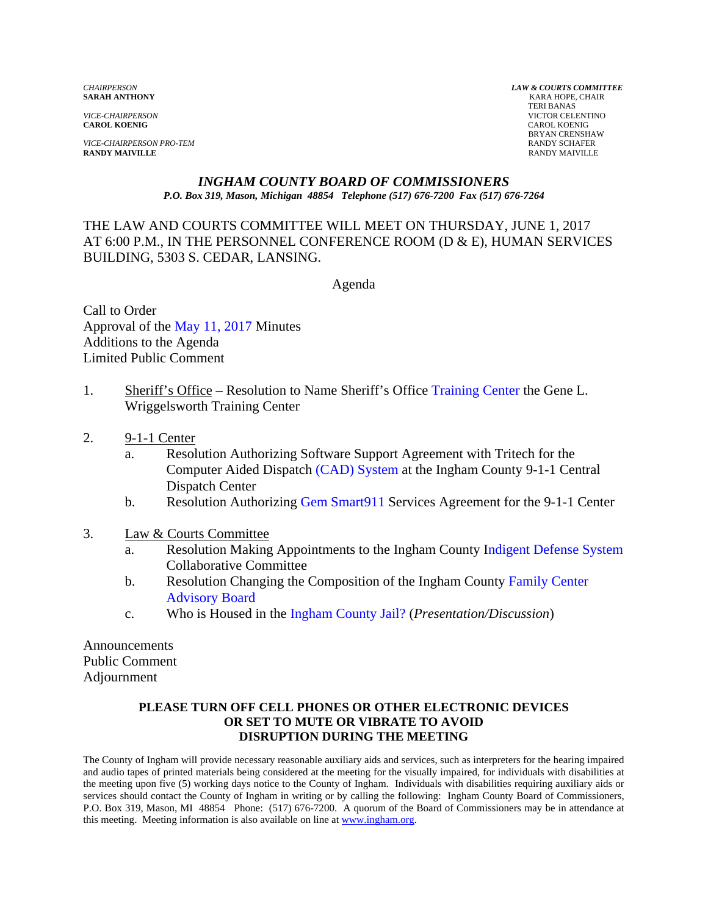**CAROL KOENIG** CAROL KOENIG

*VICE-CHAIRPERSON PRO-TEM* RANDY SCHAFER **RANDY MAIVILLE** RANDY MAIVILLE

*CHAIRPERSON LAW & COURTS COMMITTEE* **KARA HOPE, CHAIR**  TERI BANAS *VICE-CHAIRPERSON* VICTOR CELENTINO BRYAN CRENSHAW

#### *INGHAM COUNTY BOARD OF COMMISSIONERS P.O. Box 319, Mason, Michigan 48854 Telephone (517) 676-7200 Fax (517) 676-7264*

THE LAW AND COURTS COMMITTEE WILL MEET ON THURSDAY, JUNE 1, 2017 AT 6:00 P.M., IN THE PERSONNEL CONFERENCE ROOM (D & E), HUMAN SERVICES BUILDING, 5303 S. CEDAR, LANSING.

Agenda

Call to Order Approval o[f the May 11, 2017 Minutes](#page-1-0)  Additions to the Agenda Limited Public Comment

- 1. Sheriff's Office Resolution to Name Sheriff's [Office Training Center the Ge](#page-6-0)ne L. Wriggelsworth Training Center
- 2. 9-1-1 Center
	- a. Resolution Authoriz[ing Software Support Agreeme](#page-9-0)nt with Tritech for the Computer Aided Dispatch (CAD) System at the Ingham County 9-1-1 Central Dispatch Center
	- b. Resolution Authoriz[ing Gem Smart911](#page-14-0) Services Agreement for the 9-1-1 Center
- 3. Law & Courts Committee
	- a. Resolution Making Appointments to the Ingham Count[y Indigent Defense System](#page-16-0) Collaborative Committee
	- b. [Resolution Changing the Composition of](#page-18-0) the Ingham County Family Center Advisory Board
	- c. Who is Housed in the Ingham [County Jail? \(](#page-19-0)*Presentation/Discussion*)

Announcements Public Comment Adjournment

#### **PLEASE TURN OFF CELL PHONES OR OTHER ELECTRONIC DEVICES OR SET TO MUTE OR VIBRATE TO AVOID DISRUPTION DURING THE MEETING**

The County of Ingham will provide necessary reasonable auxiliary aids and services, such as interpreters for the hearing impaired and audio tapes of printed materials being considered at the meeting for the visually impaired, for individuals with disabilities at the meeting upon five (5) working days notice to the County of Ingham. Individuals with disabilities requiring auxiliary aids or services should contact the County of Ingham in writing or by calling the following: Ingham County Board of Commissioners, P.O. Box 319, Mason, MI 48854 Phone: (517) 676-7200. A quorum of the Board of Commissioners may be in attendance at this meeting. Meeting information is also available on line at www.ingham.org.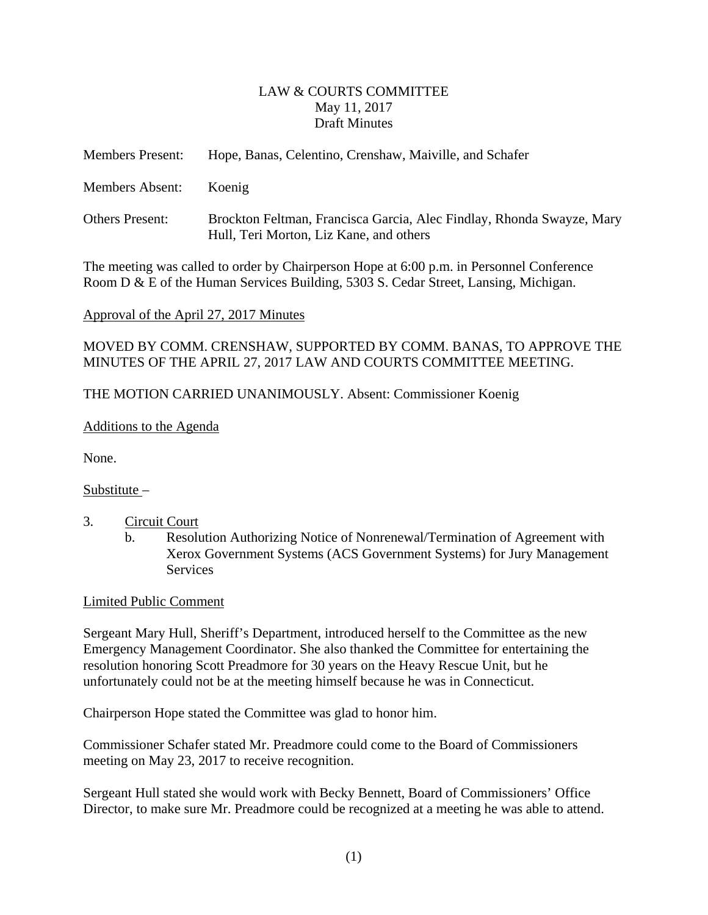### LAW & COURTS COMMITTEE May 11, 2017 Draft Minutes

<span id="page-1-0"></span>

| <b>Members Present:</b> | Hope, Banas, Celentino, Crenshaw, Maiville, and Schafer                                                          |
|-------------------------|------------------------------------------------------------------------------------------------------------------|
| Members Absent:         | Koenig                                                                                                           |
| <b>Others Present:</b>  | Brockton Feltman, Francisca Garcia, Alec Findlay, Rhonda Swayze, Mary<br>Hull, Teri Morton, Liz Kane, and others |

The meeting was called to order by Chairperson Hope at 6:00 p.m. in Personnel Conference Room D & E of the Human Services Building, 5303 S. Cedar Street, Lansing, Michigan.

#### Approval of the April 27, 2017 Minutes

MOVED BY COMM. CRENSHAW, SUPPORTED BY COMM. BANAS, TO APPROVE THE MINUTES OF THE APRIL 27, 2017 LAW AND COURTS COMMITTEE MEETING.

# THE MOTION CARRIED UNANIMOUSLY. Absent: Commissioner Koenig

#### Additions to the Agenda

None.

#### Substitute –

- 3. Circuit Court
	- b. Resolution Authorizing Notice of Nonrenewal/Termination of Agreement with Xerox Government Systems (ACS Government Systems) for Jury Management Services

#### Limited Public Comment

Sergeant Mary Hull, Sheriff's Department, introduced herself to the Committee as the new Emergency Management Coordinator. She also thanked the Committee for entertaining the resolution honoring Scott Preadmore for 30 years on the Heavy Rescue Unit, but he unfortunately could not be at the meeting himself because he was in Connecticut.

Chairperson Hope stated the Committee was glad to honor him.

Commissioner Schafer stated Mr. Preadmore could come to the Board of Commissioners meeting on May 23, 2017 to receive recognition.

Sergeant Hull stated she would work with Becky Bennett, Board of Commissioners' Office Director, to make sure Mr. Preadmore could be recognized at a meeting he was able to attend.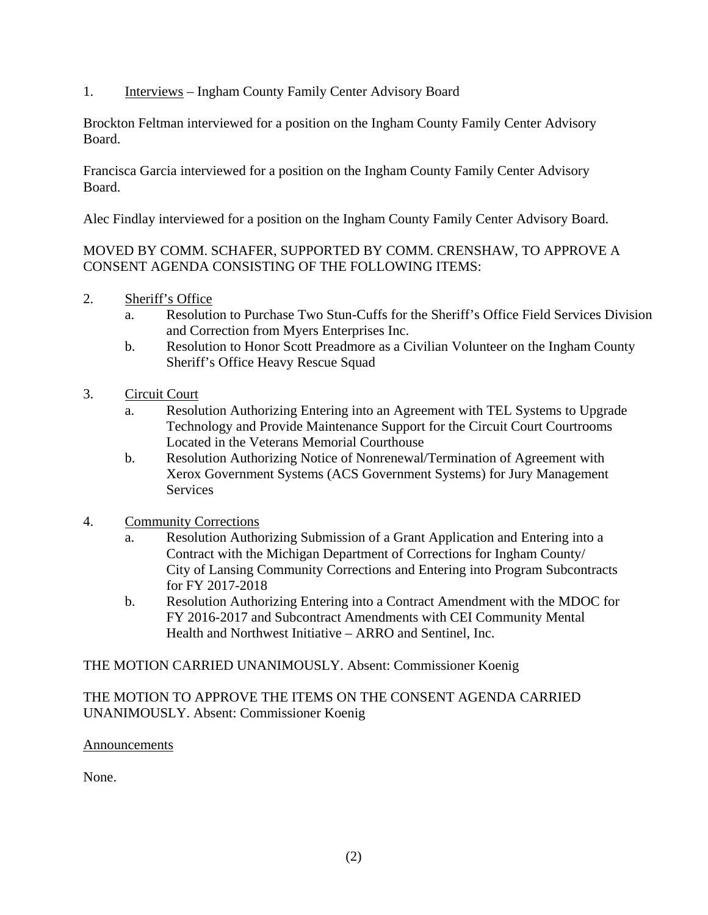1. Interviews – Ingham County Family Center Advisory Board

Brockton Feltman interviewed for a position on the Ingham County Family Center Advisory Board.

Francisca Garcia interviewed for a position on the Ingham County Family Center Advisory Board.

Alec Findlay interviewed for a position on the Ingham County Family Center Advisory Board.

# MOVED BY COMM. SCHAFER, SUPPORTED BY COMM. CRENSHAW, TO APPROVE A CONSENT AGENDA CONSISTING OF THE FOLLOWING ITEMS:

- 2. Sheriff's Office
	- a. Resolution to Purchase Two Stun-Cuffs for the Sheriff's Office Field Services Division and Correction from Myers Enterprises Inc.
	- b. Resolution to Honor Scott Preadmore as a Civilian Volunteer on the Ingham County Sheriff's Office Heavy Rescue Squad
- 3. Circuit Court
	- a. Resolution Authorizing Entering into an Agreement with TEL Systems to Upgrade Technology and Provide Maintenance Support for the Circuit Court Courtrooms Located in the Veterans Memorial Courthouse
	- b. Resolution Authorizing Notice of Nonrenewal/Termination of Agreement with Xerox Government Systems (ACS Government Systems) for Jury Management Services
- 4. Community Corrections
	- a. Resolution Authorizing Submission of a Grant Application and Entering into a Contract with the Michigan Department of Corrections for Ingham County/ City of Lansing Community Corrections and Entering into Program Subcontracts for FY 2017-2018
	- b. Resolution Authorizing Entering into a Contract Amendment with the MDOC for FY 2016-2017 and Subcontract Amendments with CEI Community Mental Health and Northwest Initiative – ARRO and Sentinel, Inc.

THE MOTION CARRIED UNANIMOUSLY. Absent: Commissioner Koenig

THE MOTION TO APPROVE THE ITEMS ON THE CONSENT AGENDA CARRIED UNANIMOUSLY. Absent: Commissioner Koenig

# **Announcements**

None.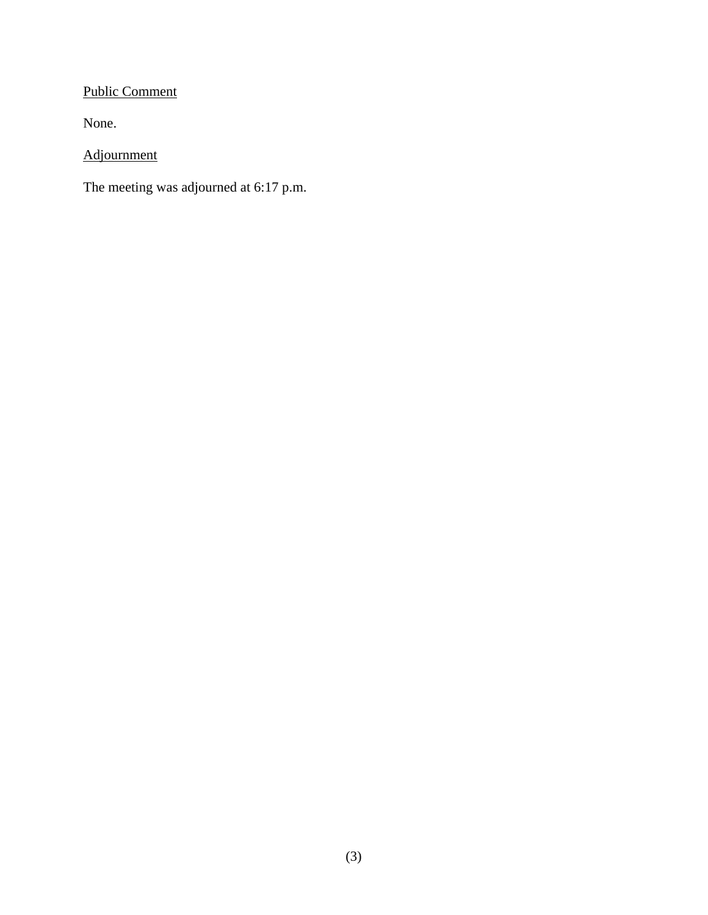# Public Comment

None.

Adjournment

The meeting was adjourned at 6:17 p.m.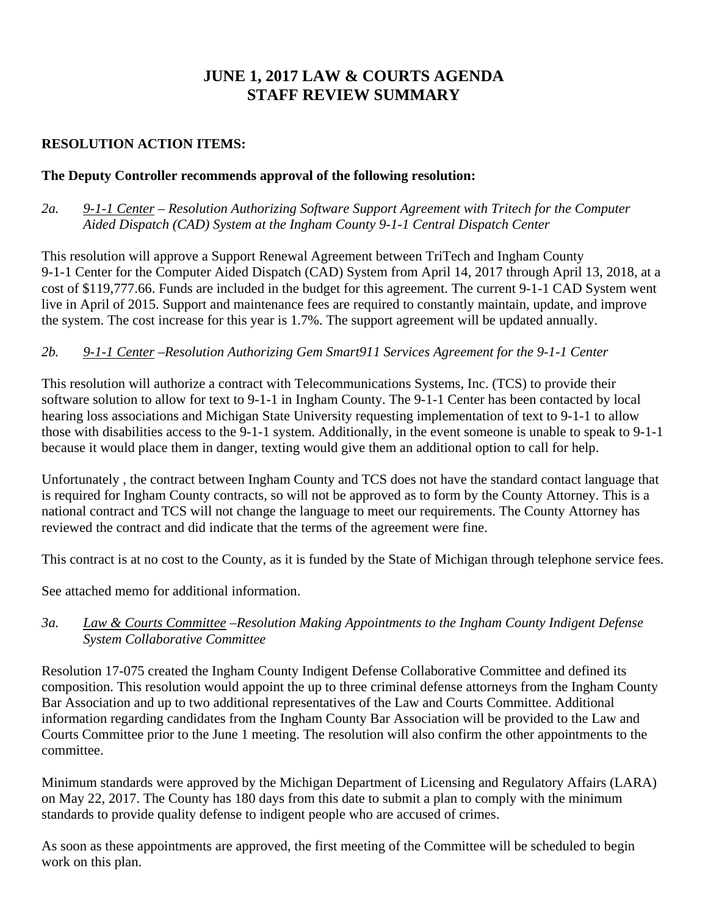# **JUNE 1, 2017 LAW & COURTS AGENDA STAFF REVIEW SUMMARY**

# **RESOLUTION ACTION ITEMS:**

# **The Deputy Controller recommends approval of the following resolution:**

*2a. 9-1-1 Center – Resolution Authorizing Software Support Agreement with Tritech for the Computer Aided Dispatch (CAD) System at the Ingham County 9-1-1 Central Dispatch Center* 

This resolution will approve a Support Renewal Agreement between TriTech and Ingham County 9-1-1 Center for the Computer Aided Dispatch (CAD) System from April 14, 2017 through April 13, 2018, at a cost of \$119,777.66. Funds are included in the budget for this agreement. The current 9-1-1 CAD System went live in April of 2015. Support and maintenance fees are required to constantly maintain, update, and improve the system. The cost increase for this year is 1.7%. The support agreement will be updated annually.

# *2b. 9-1-1 Center –Resolution Authorizing Gem Smart911 Services Agreement for the 9-1-1 Center*

This resolution will authorize a contract with Telecommunications Systems, Inc. (TCS) to provide their software solution to allow for text to 9-1-1 in Ingham County. The 9-1-1 Center has been contacted by local hearing loss associations and Michigan State University requesting implementation of text to 9-1-1 to allow those with disabilities access to the 9-1-1 system. Additionally, in the event someone is unable to speak to 9-1-1 because it would place them in danger, texting would give them an additional option to call for help.

Unfortunately , the contract between Ingham County and TCS does not have the standard contact language that is required for Ingham County contracts, so will not be approved as to form by the County Attorney. This is a national contract and TCS will not change the language to meet our requirements. The County Attorney has reviewed the contract and did indicate that the terms of the agreement were fine.

This contract is at no cost to the County, as it is funded by the State of Michigan through telephone service fees.

See attached memo for additional information.

# *3a. Law & Courts Committee –Resolution Making Appointments to the Ingham County Indigent Defense System Collaborative Committee*

Resolution 17-075 created the Ingham County Indigent Defense Collaborative Committee and defined its composition. This resolution would appoint the up to three criminal defense attorneys from the Ingham County Bar Association and up to two additional representatives of the Law and Courts Committee. Additional information regarding candidates from the Ingham County Bar Association will be provided to the Law and Courts Committee prior to the June 1 meeting. The resolution will also confirm the other appointments to the committee.

Minimum standards were approved by the Michigan Department of Licensing and Regulatory Affairs (LARA) on May 22, 2017. The County has 180 days from this date to submit a plan to comply with the minimum standards to provide quality defense to indigent people who are accused of crimes.

As soon as these appointments are approved, the first meeting of the Committee will be scheduled to begin work on this plan.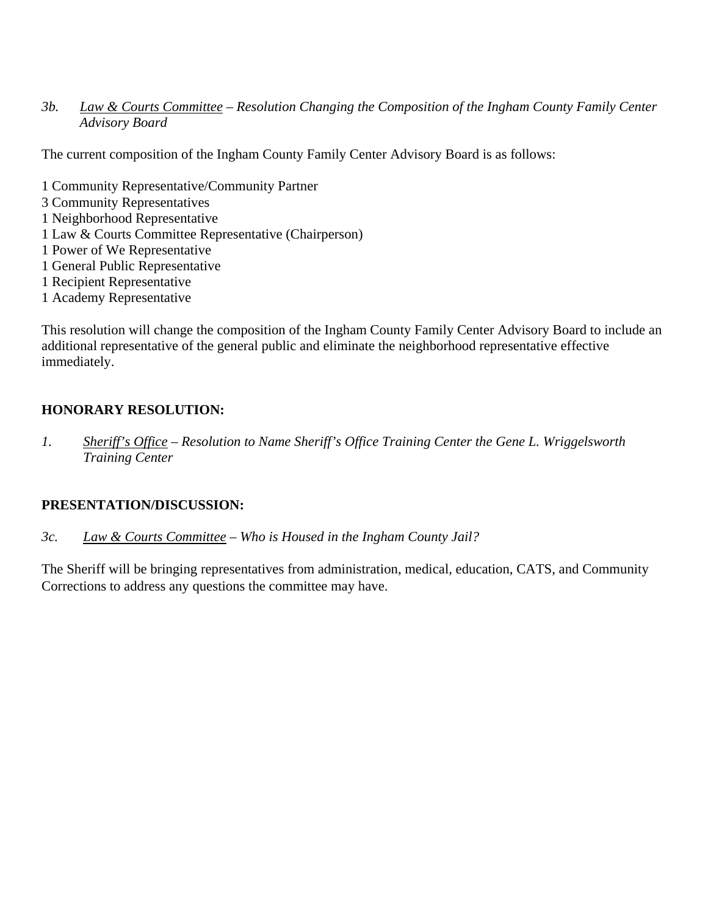# *3b. Law & Courts Committee – Resolution Changing the Composition of the Ingham County Family Center Advisory Board*

The current composition of the Ingham County Family Center Advisory Board is as follows:

- 1 Community Representative/Community Partner
- 3 Community Representatives
- 1 Neighborhood Representative
- 1 Law & Courts Committee Representative (Chairperson)
- 1 Power of We Representative
- 1 General Public Representative
- 1 Recipient Representative
- 1 Academy Representative

This resolution will change the composition of the Ingham County Family Center Advisory Board to include an additional representative of the general public and eliminate the neighborhood representative effective immediately.

# **HONORARY RESOLUTION:**

*1. Sheriff's Office – Resolution to Name Sheriff's Office Training Center the Gene L. Wriggelsworth Training Center* 

# **PRESENTATION/DISCUSSION:**

*3c. Law & Courts Committee – Who is Housed in the Ingham County Jail?* 

The Sheriff will be bringing representatives from administration, medical, education, CATS, and Community Corrections to address any questions the committee may have.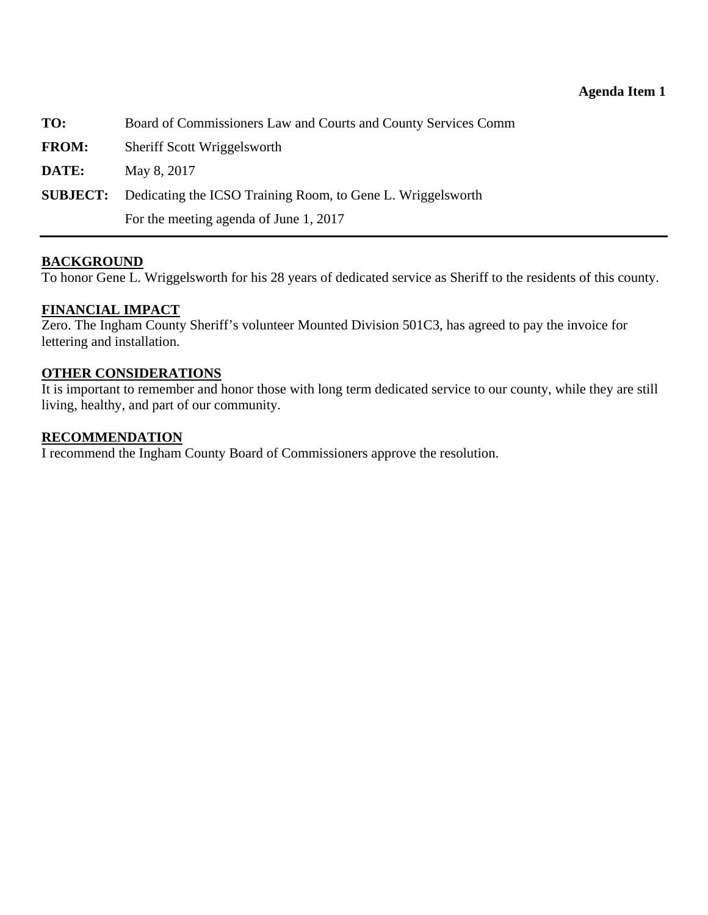### **Agenda Item 1**

<span id="page-6-0"></span>**TO:** Board of Commissioners Law and Courts and County Services Comm **FROM:** Sheriff Scott Wriggelsworth **DATE:** May 8, 2017 **SUBJECT:** Dedicating the ICSO Training Room, to Gene L. Wriggelsworth For the meeting agenda of June 1, 2017

#### **BACKGROUND**

To honor Gene L. Wriggelsworth for his 28 years of dedicated service as Sheriff to the residents of this county.

#### **FINANCIAL IMPACT**

Zero. The Ingham County Sheriff's volunteer Mounted Division 501C3, has agreed to pay the invoice for lettering and installation.

#### **OTHER CONSIDERATIONS**

It is important to remember and honor those with long term dedicated service to our county, while they are still living, healthy, and part of our community.

#### **RECOMMENDATION**

I recommend the Ingham County Board of Commissioners approve the resolution.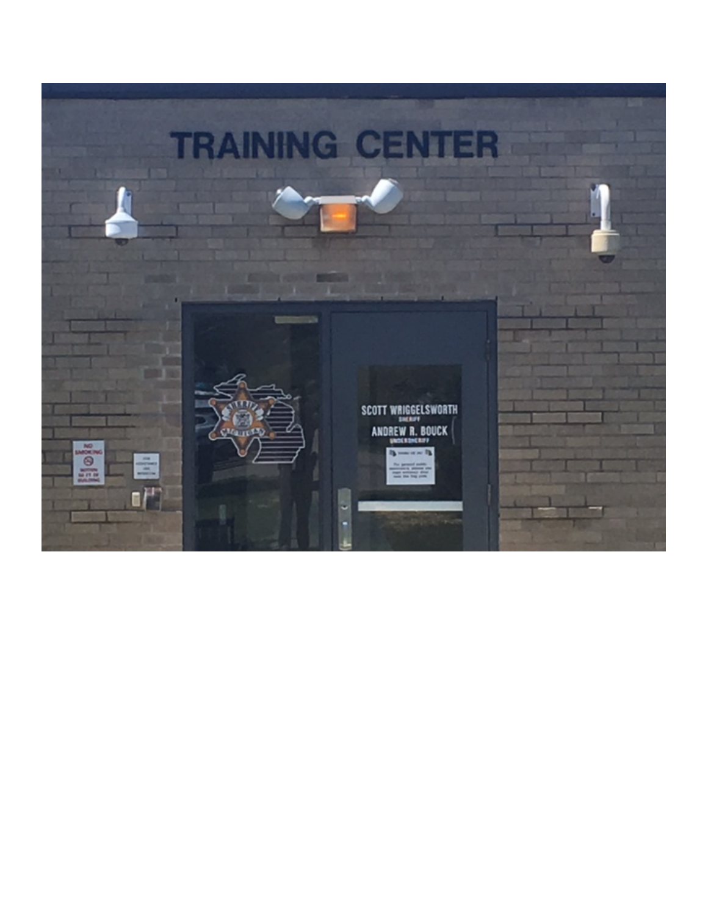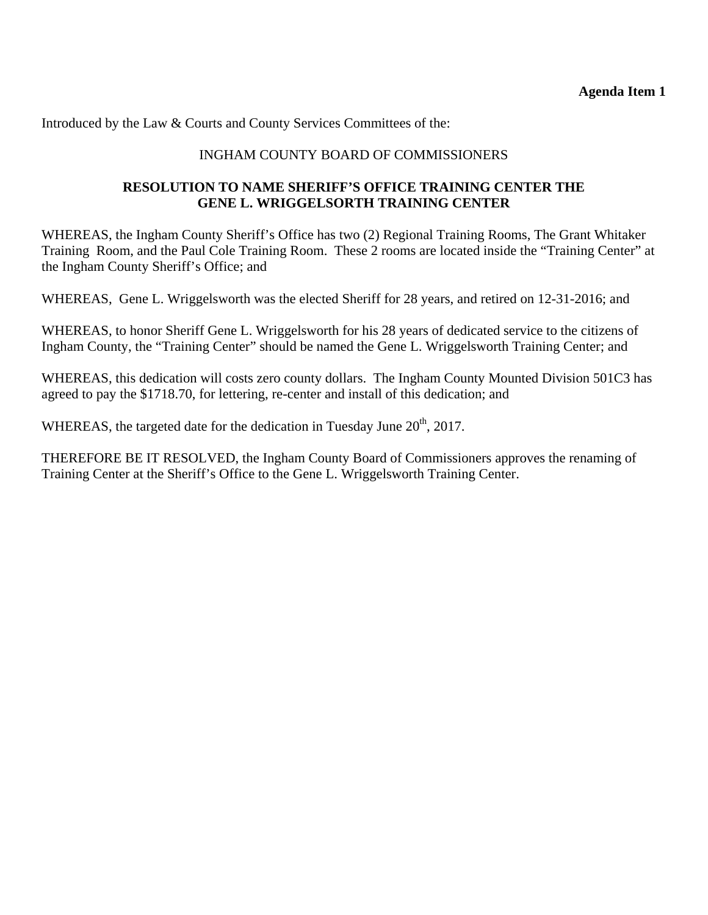Introduced by the Law & Courts and County Services Committees of the:

# INGHAM COUNTY BOARD OF COMMISSIONERS

# **RESOLUTION TO NAME SHERIFF'S OFFICE TRAINING CENTER THE GENE L. WRIGGELSORTH TRAINING CENTER**

WHEREAS, the Ingham County Sheriff's Office has two (2) Regional Training Rooms, The Grant Whitaker Training Room, and the Paul Cole Training Room. These 2 rooms are located inside the "Training Center" at the Ingham County Sheriff's Office; and

WHEREAS, Gene L. Wriggelsworth was the elected Sheriff for 28 years, and retired on 12-31-2016; and

WHEREAS, to honor Sheriff Gene L. Wriggelsworth for his 28 years of dedicated service to the citizens of Ingham County, the "Training Center" should be named the Gene L. Wriggelsworth Training Center; and

WHEREAS, this dedication will costs zero county dollars. The Ingham County Mounted Division 501C3 has agreed to pay the \$1718.70, for lettering, re-center and install of this dedication; and

WHEREAS, the targeted date for the dedication in Tuesday June 20<sup>th</sup>, 2017.

THEREFORE BE IT RESOLVED, the Ingham County Board of Commissioners approves the renaming of Training Center at the Sheriff's Office to the Gene L. Wriggelsworth Training Center.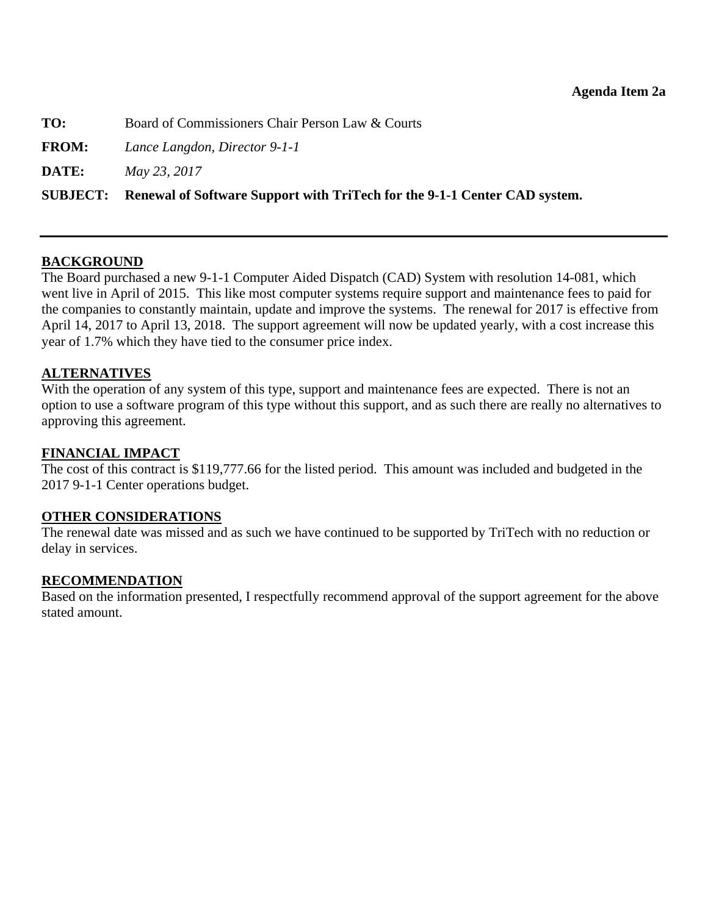<span id="page-9-0"></span>**TO:** Board of Commissioners Chair Person Law & Courts

**FROM:** *Lance Langdon, Director 9-1-1*

**DATE:** *May 23, 2017*

**SUBJECT: Renewal of Software Support with TriTech for the 9-1-1 Center CAD system.**

#### **BACKGROUND**

The Board purchased a new 9-1-1 Computer Aided Dispatch (CAD) System with resolution 14-081, which went live in April of 2015. This like most computer systems require support and maintenance fees to paid for the companies to constantly maintain, update and improve the systems. The renewal for 2017 is effective from April 14, 2017 to April 13, 2018. The support agreement will now be updated yearly, with a cost increase this year of 1.7% which they have tied to the consumer price index.

#### **ALTERNATIVES**

With the operation of any system of this type, support and maintenance fees are expected. There is not an option to use a software program of this type without this support, and as such there are really no alternatives to approving this agreement.

## **FINANCIAL IMPACT**

The cost of this contract is \$119,777.66 for the listed period. This amount was included and budgeted in the 2017 9-1-1 Center operations budget.

#### **OTHER CONSIDERATIONS**

The renewal date was missed and as such we have continued to be supported by TriTech with no reduction or delay in services.

#### **RECOMMENDATION**

Based on the information presented, I respectfully recommend approval of the support agreement for the above stated amount.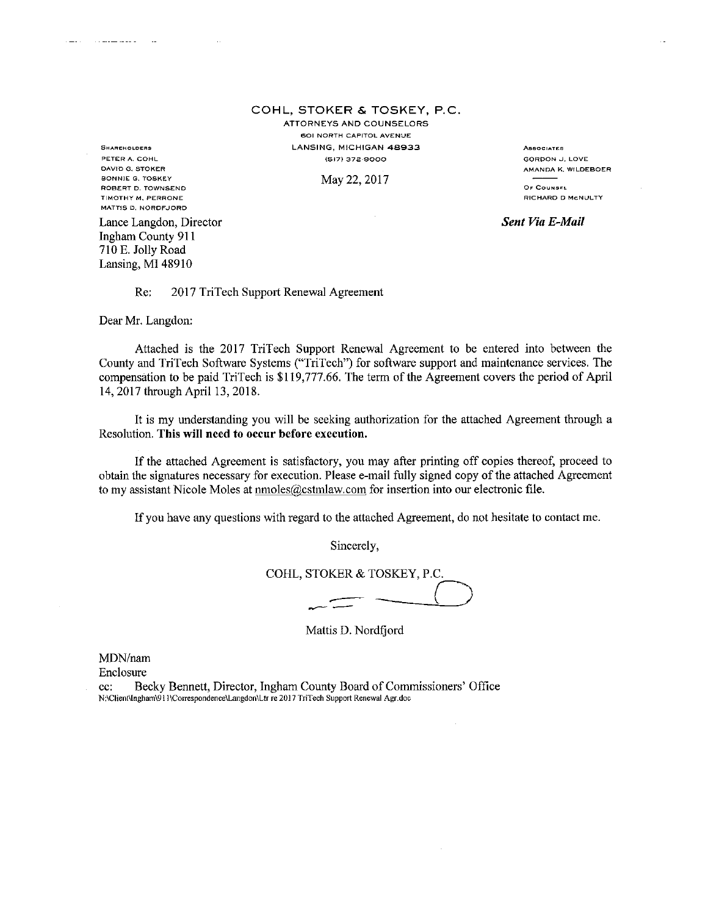#### COHL, STOKER & TOSKEY, P.C. ATTORNEYS AND COUNSELORS **601 NORTH CAPITOL AVENUE** LANSING, MICHIGAN 48933 (517) 372-9000

May 22, 2017

**ASSOCIATES** GORDON J. LOVE AMANDA K. WILDEBOER

OF COUNSEL **RICHARD D McNULTY** 

Sent Via E-Mail

SHAREHOLDERS PETER A, COHL DAVID G. STOKER **BONNIE G. TOSKEY** ROBERT D. TOWNSEND TIMOTHY M. PERRONE MATTIS D. NORDFJORD

المرادات المستنقذ المستشفرة والمراد

Lance Langdon, Director **Ingham County 911** 710 E. Jolly Road Lansing, MI 48910

> 2017 TriTech Support Renewal Agreement Re:

Dear Mr. Langdon:

Attached is the 2017 TriTech Support Renewal Agreement to be entered into between the County and TriTech Software Systems ("TriTech") for software support and maintenance services. The compensation to be paid TriTech is \$119,777.66. The term of the Agreement covers the period of April 14, 2017 through April 13, 2018.

It is my understanding you will be seeking authorization for the attached Agreement through a Resolution. This will need to occur before execution.

If the attached Agreement is satisfactory, you may after printing off copies thereof, proceed to obtain the signatures necessary for execution. Please e-mail fully signed copy of the attached Agreement to my assistant Nicole Moles at nmoles@cstmlaw.com for insertion into our electronic file.

If you have any questions with regard to the attached Agreement, do not hesitate to contact me.

Sincerely,

COHL, STOKER & TOSKEY, P.C.

Mattis D. Nordfjord

MDN/nam Enclosure

Becky Bennett, Director, Ingham County Board of Commissioners' Office  $cc$ : N:\Client\Ingham\911\Correspondence\Langdon\Ltr re 2017 TriTech Support Renewal Agr.doc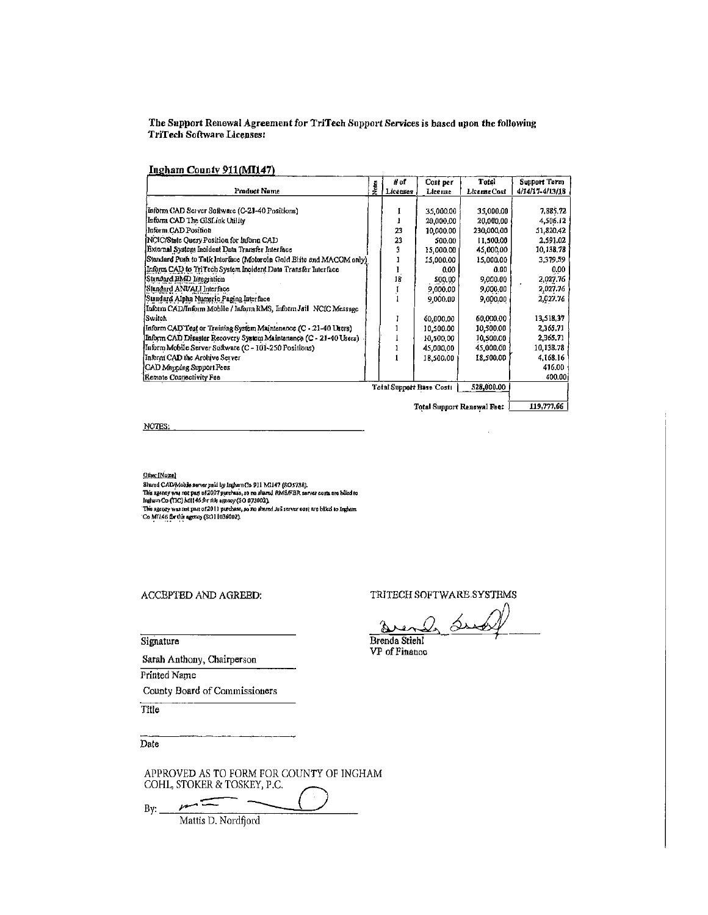The Support Renewal Agreement for TriTech Support Services is based upon the following TriTech Software Licenses:

**Ingham County 911(MI147)** 

|                                                                      |      | # of     | Cost per                | Total                      | <b>Support Term</b> |
|----------------------------------------------------------------------|------|----------|-------------------------|----------------------------|---------------------|
| <b>Praduct Name</b>                                                  | Note | Licenses | License                 | Litense Cost               | 4/14/17-4/13/18     |
|                                                                      |      |          |                         |                            |                     |
| Inform CAD Server Software (C-21-40 Positions)                       |      |          | 35,000.00               | 35,000.00                  | 7,885.72            |
| Inform CAD The GISLink Utility                                       |      |          | 20,000.00               | 20,000.00                  | 4,506.12            |
| Inform CAD Position                                                  |      | 23       | 10,000.00               | 230,000,00                 | 51,820,42           |
| NCIC/State Query Position for Inform CAD                             |      | 23       | 500.00                  | 11,500.00                  | 2,591.02            |
| External System Incident Data Transfer Interface                     |      |          | 15,000.00               | 45,000,00                  | 10,138,78           |
| Standard Push to Talk Interface (Motoroin Gold Elite and MACOM only) |      |          | 15,000.00               | 15,000,00                  | 3,379.59            |
| Inform CAD to TriTech System Incident Data Transfer Interface        |      |          | 0.00                    | 0.00                       | 0.00                |
| Standard PMD Litegration                                             |      | 18       | 500.00                  | 9,000.00                   | 2,027.76            |
| Standard ANI/ALI Interface                                           |      |          | 9,000.00                | 9,000.00                   | 2,027.76            |
| Standard Alpha Numeric Paging Interface                              |      |          | 9,000.00                | 9,000.00                   | 2,027.76            |
| Inform CAD/Inform Mobile / Inform RMS, Inform Jail NCIC Message      |      |          |                         |                            |                     |
| Switch                                                               |      |          | 60,000.00               | 60,000.00                  | 13,518.37           |
| Inform CAD Tost or Training System Maintenance (C - 21-40 Users)     |      |          | 10,500.00               | 10,500.00                  | 2,365,71            |
| Imform CAD Disaster Recovery System Maintenance (C - 21-40 Users)    |      |          | 10.500.00               | 10,500.00                  | 2,365,71            |
| Inform Mobile Server Software (C - 101-250 Positions)                |      |          | 45,000.00               | 45,000.00                  | 10,138.78           |
| Inform CAD the Aroluve Server                                        |      |          | 18,500,00               | 18,500,00                  | 4,168.16            |
| CAD Mapping Support Fees                                             |      |          |                         |                            | 416.00              |
| Remote Connectivity Fee                                              |      |          |                         |                            | 400.00              |
|                                                                      |      |          | Total Support Base Cost | 528,000.00                 |                     |
|                                                                      |      |          |                         |                            |                     |
|                                                                      |      |          |                         | Total Support Renewal Fee: | 119,777,66          |

NOTES.

Other (Notse)

Since CADA/doble server paid by Inghem Co 911 M1147 (SO5738).<br>This rgency was not put of 2007 purchase, to no situacid RMS/FBR server costs are billed to<br>hegian Co (THC) M1146 fir ritis sgoco/500 073002).<br>This sgoupy was n

ACCEPTED AND AGREED:

Signature

Sarah Anthony, Chairperson

Printed Name

County Board of Commissioners

Title

Date

APPROVED AS TO FORM FOR COUNTY OF INGHAM COHL, STOKER & TOSKEY, P.C. By:

Mattis D. Nordfjord

TRITECH SOFTWARE SYSTEMS

<u>sver</u> Brenda Stiehl

VP of Finance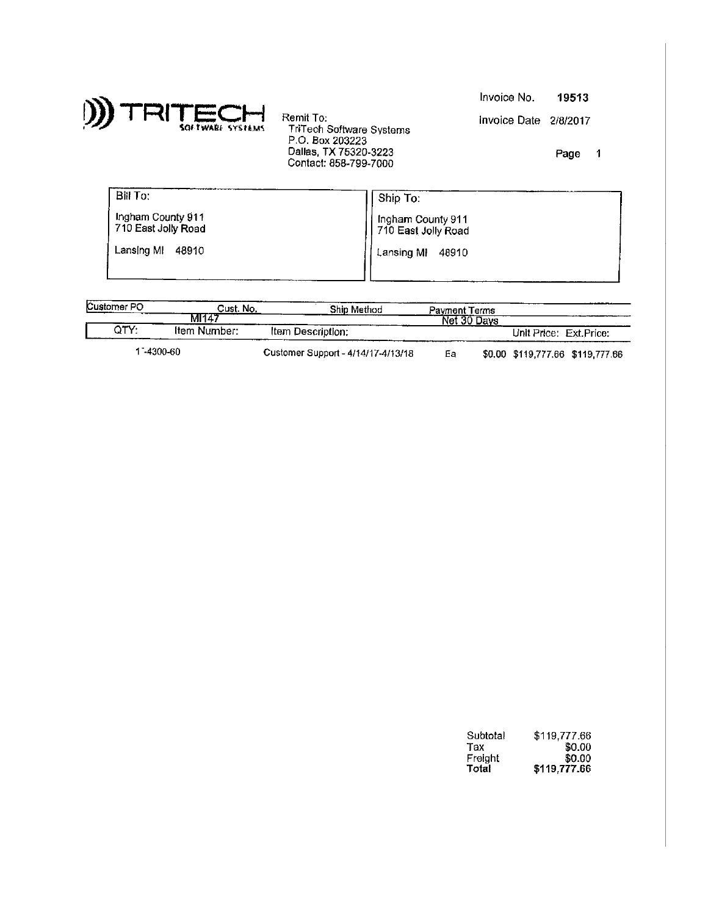| SOFTWARE SYSTEMS                         | Remit To:<br>TriTech Software Systems<br>P.O. Box 203223<br>Dallas, TX 75320-3223<br>Contact: 858-799-7000 |                                          | Invoice No.<br>Invoice Date | 19513<br>2/8/2017<br>Page |  |
|------------------------------------------|------------------------------------------------------------------------------------------------------------|------------------------------------------|-----------------------------|---------------------------|--|
| Bill To:                                 |                                                                                                            | Ship To:                                 |                             |                           |  |
| Ingham County 911<br>710 East Jolly Road |                                                                                                            | Ingham County 911<br>710 East Jolly Road |                             |                           |  |
| Lansing MI<br>48910                      |                                                                                                            | Lansing MI<br>48910                      |                             |                           |  |

| Customer PO | Cust. No.    | Ship Method                        | Payment Terms |                                  |
|-------------|--------------|------------------------------------|---------------|----------------------------------|
|             | MI147        |                                    | Net 30 Days   |                                  |
| OTY:        | Item Number: | Item Description:                  |               | Unit Price: Ext. Price:          |
|             | 1 -4300-60   | Customer Support - 4/14/17-4/13/18 | Eа            | \$0.00 \$119,777.66 \$119,777.66 |

| Subtotal | \$119,777.66 |
|----------|--------------|
| Тах      | \$0.00       |
| Freight  | \$0.00       |
| Total    | \$119,777.66 |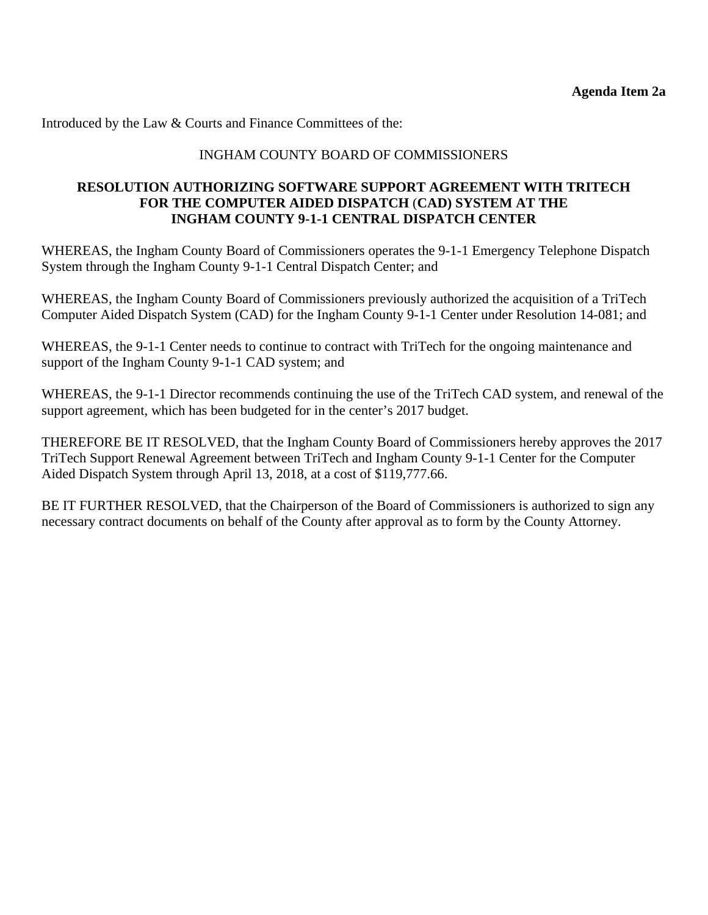Introduced by the Law & Courts and Finance Committees of the:

## INGHAM COUNTY BOARD OF COMMISSIONERS

#### **RESOLUTION AUTHORIZING SOFTWARE SUPPORT AGREEMENT WITH TRITECH FOR THE COMPUTER AIDED DISPATCH** (**CAD) SYSTEM AT THE INGHAM COUNTY 9-1-1 CENTRAL DISPATCH CENTER**

WHEREAS, the Ingham County Board of Commissioners operates the 9-1-1 Emergency Telephone Dispatch System through the Ingham County 9-1-1 Central Dispatch Center; and

WHEREAS, the Ingham County Board of Commissioners previously authorized the acquisition of a TriTech Computer Aided Dispatch System (CAD) for the Ingham County 9-1-1 Center under Resolution 14-081; and

WHEREAS, the 9-1-1 Center needs to continue to contract with TriTech for the ongoing maintenance and support of the Ingham County 9-1-1 CAD system; and

WHEREAS, the 9-1-1 Director recommends continuing the use of the TriTech CAD system, and renewal of the support agreement, which has been budgeted for in the center's 2017 budget.

THEREFORE BE IT RESOLVED, that the Ingham County Board of Commissioners hereby approves the 2017 TriTech Support Renewal Agreement between TriTech and Ingham County 9-1-1 Center for the Computer Aided Dispatch System through April 13, 2018, at a cost of \$119,777.66.

BE IT FURTHER RESOLVED, that the Chairperson of the Board of Commissioners is authorized to sign any necessary contract documents on behalf of the County after approval as to form by the County Attorney.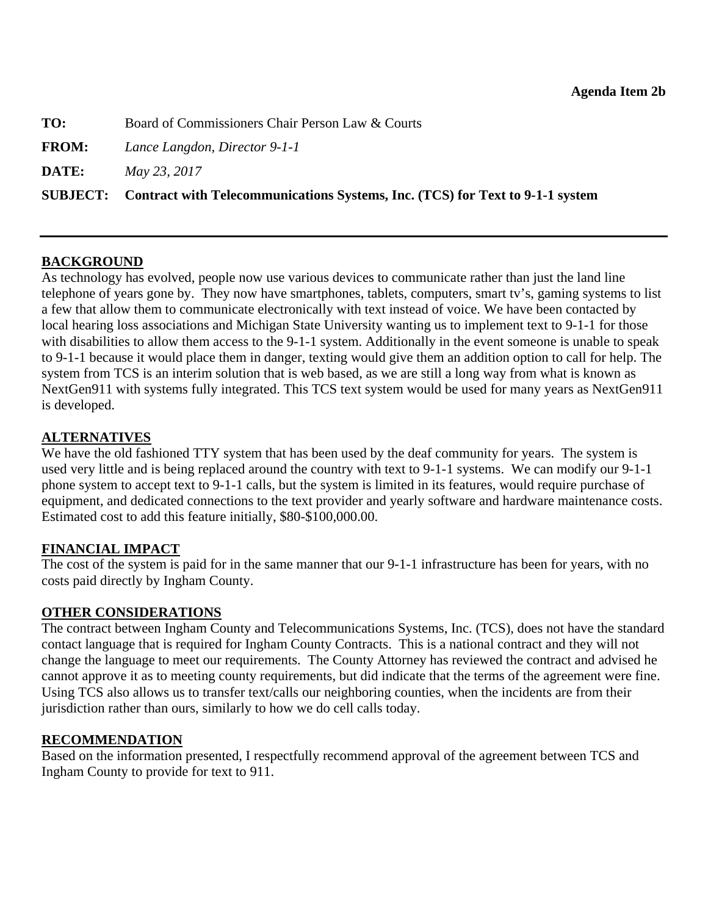<span id="page-14-0"></span>**TO:** Board of Commissioners Chair Person Law & Courts

**FROM:** *Lance Langdon, Director 9-1-1*

**DATE:** *May 23, 2017*

**SUBJECT: Contract with Telecommunications Systems, Inc. (TCS) for Text to 9-1-1 system**

# **BACKGROUND**

As technology has evolved, people now use various devices to communicate rather than just the land line telephone of years gone by. They now have smartphones, tablets, computers, smart tv's, gaming systems to list a few that allow them to communicate electronically with text instead of voice. We have been contacted by local hearing loss associations and Michigan State University wanting us to implement text to 9-1-1 for those with disabilities to allow them access to the 9-1-1 system. Additionally in the event someone is unable to speak to 9-1-1 because it would place them in danger, texting would give them an addition option to call for help. The system from TCS is an interim solution that is web based, as we are still a long way from what is known as NextGen911 with systems fully integrated. This TCS text system would be used for many years as NextGen911 is developed.

#### **ALTERNATIVES**

We have the old fashioned TTY system that has been used by the deaf community for years. The system is used very little and is being replaced around the country with text to 9-1-1 systems. We can modify our 9-1-1 phone system to accept text to 9-1-1 calls, but the system is limited in its features, would require purchase of equipment, and dedicated connections to the text provider and yearly software and hardware maintenance costs. Estimated cost to add this feature initially, \$80-\$100,000.00.

#### **FINANCIAL IMPACT**

The cost of the system is paid for in the same manner that our 9-1-1 infrastructure has been for years, with no costs paid directly by Ingham County.

# **OTHER CONSIDERATIONS**

The contract between Ingham County and Telecommunications Systems, Inc. (TCS), does not have the standard contact language that is required for Ingham County Contracts. This is a national contract and they will not change the language to meet our requirements. The County Attorney has reviewed the contract and advised he cannot approve it as to meeting county requirements, but did indicate that the terms of the agreement were fine. Using TCS also allows us to transfer text/calls our neighboring counties, when the incidents are from their jurisdiction rather than ours, similarly to how we do cell calls today.

#### **RECOMMENDATION**

Based on the information presented, I respectfully recommend approval of the agreement between TCS and Ingham County to provide for text to 911.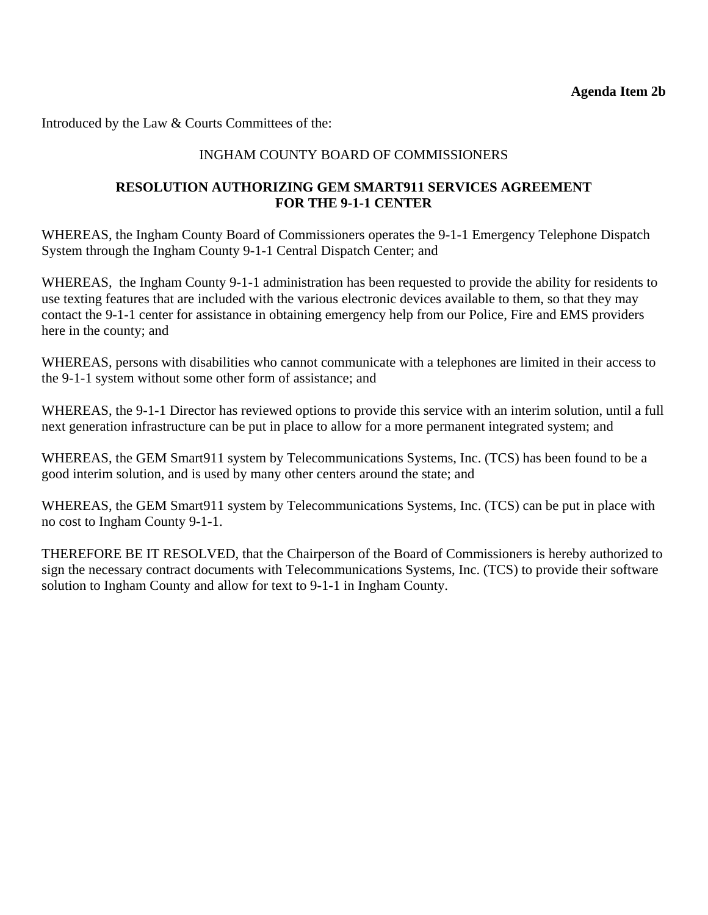Introduced by the Law & Courts Committees of the:

# INGHAM COUNTY BOARD OF COMMISSIONERS

# **RESOLUTION AUTHORIZING GEM SMART911 SERVICES AGREEMENT FOR THE 9-1-1 CENTER**

WHEREAS, the Ingham County Board of Commissioners operates the 9-1-1 Emergency Telephone Dispatch System through the Ingham County 9-1-1 Central Dispatch Center; and

WHEREAS, the Ingham County 9-1-1 administration has been requested to provide the ability for residents to use texting features that are included with the various electronic devices available to them, so that they may contact the 9-1-1 center for assistance in obtaining emergency help from our Police, Fire and EMS providers here in the county; and

WHEREAS, persons with disabilities who cannot communicate with a telephones are limited in their access to the 9-1-1 system without some other form of assistance; and

WHEREAS, the 9-1-1 Director has reviewed options to provide this service with an interim solution, until a full next generation infrastructure can be put in place to allow for a more permanent integrated system; and

WHEREAS, the GEM Smart911 system by Telecommunications Systems, Inc. (TCS) has been found to be a good interim solution, and is used by many other centers around the state; and

WHEREAS, the GEM Smart911 system by Telecommunications Systems, Inc. (TCS) can be put in place with no cost to Ingham County 9-1-1.

THEREFORE BE IT RESOLVED, that the Chairperson of the Board of Commissioners is hereby authorized to sign the necessary contract documents with Telecommunications Systems, Inc. (TCS) to provide their software solution to Ingham County and allow for text to 9-1-1 in Ingham County.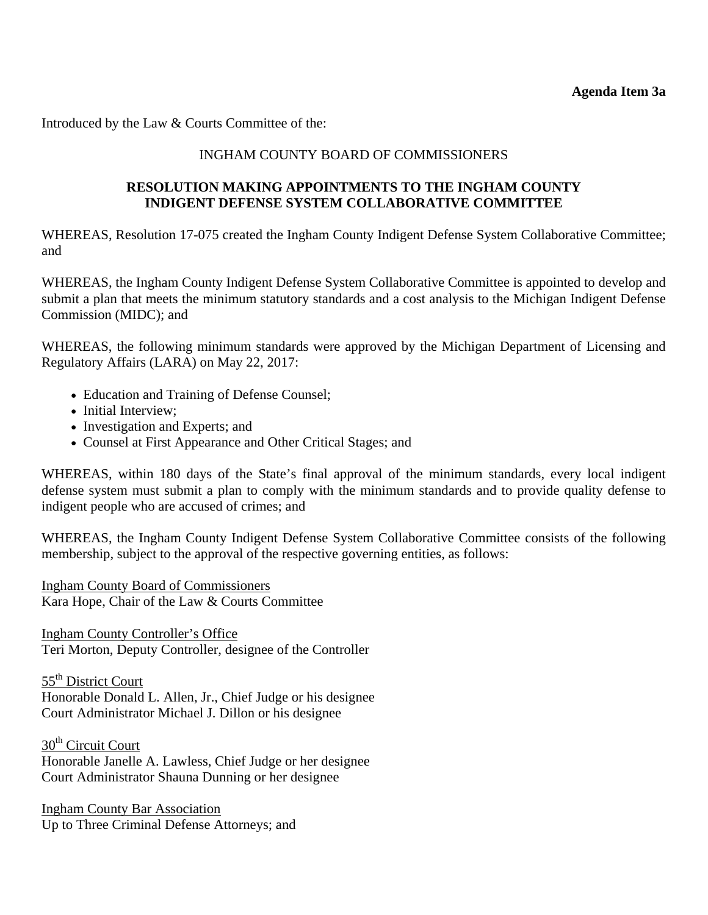<span id="page-16-0"></span>Introduced by the Law & Courts Committee of the:

# INGHAM COUNTY BOARD OF COMMISSIONERS

### **RESOLUTION MAKING APPOINTMENTS TO THE INGHAM COUNTY INDIGENT DEFENSE SYSTEM COLLABORATIVE COMMITTEE**

WHEREAS, Resolution 17-075 created the Ingham County Indigent Defense System Collaborative Committee; and

WHEREAS, the Ingham County Indigent Defense System Collaborative Committee is appointed to develop and submit a plan that meets the minimum statutory standards and a cost analysis to the Michigan Indigent Defense Commission (MIDC); and

WHEREAS, the following minimum standards were approved by the Michigan Department of Licensing and Regulatory Affairs (LARA) on May 22, 2017:

- Education and Training of Defense Counsel;
- Initial Interview:
- Investigation and Experts; and
- Counsel at First Appearance and Other Critical Stages; and

WHEREAS, within 180 days of the State's final approval of the minimum standards, every local indigent defense system must submit a plan to comply with the minimum standards and to provide quality defense to indigent people who are accused of crimes; and

WHEREAS, the Ingham County Indigent Defense System Collaborative Committee consists of the following membership, subject to the approval of the respective governing entities, as follows:

Ingham County Board of Commissioners Kara Hope, Chair of the Law & Courts Committee

Ingham County Controller's Office Teri Morton, Deputy Controller, designee of the Controller

55<sup>th</sup> District Court Honorable Donald L. Allen, Jr., Chief Judge or his designee Court Administrator Michael J. Dillon or his designee

 $30<sup>th</sup>$  Circuit Court Honorable Janelle A. Lawless, Chief Judge or her designee Court Administrator Shauna Dunning or her designee

Ingham County Bar Association Up to Three Criminal Defense Attorneys; and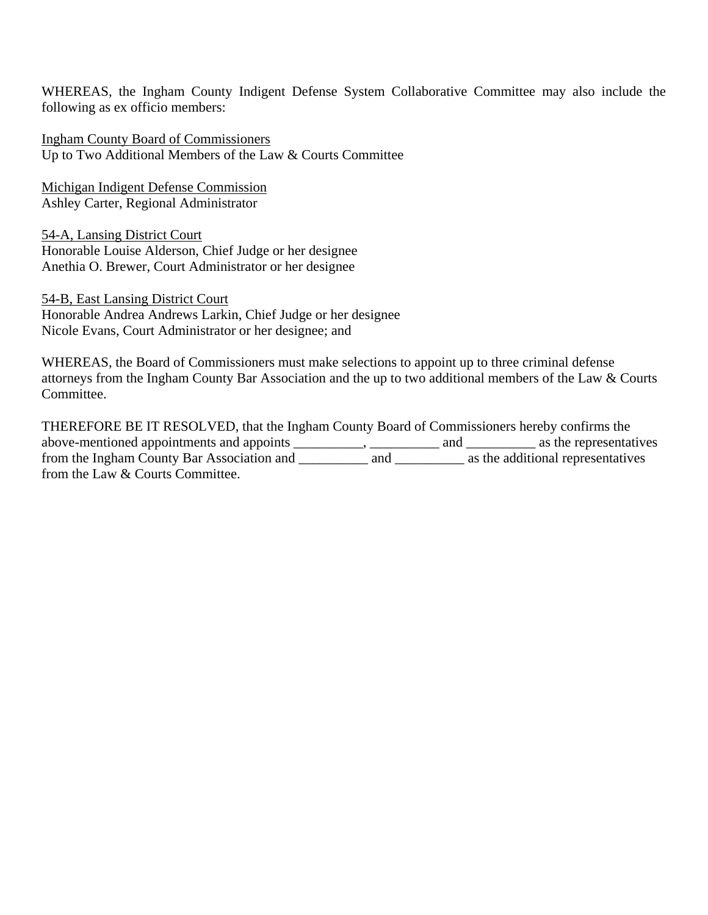WHEREAS, the Ingham County Indigent Defense System Collaborative Committee may also include the following as ex officio members:

Ingham County Board of Commissioners Up to Two Additional Members of the Law & Courts Committee

Michigan Indigent Defense Commission Ashley Carter, Regional Administrator

54-A, Lansing District Court Honorable Louise Alderson, Chief Judge or her designee Anethia O. Brewer, Court Administrator or her designee

54-B, East Lansing District Court Honorable Andrea Andrews Larkin, Chief Judge or her designee Nicole Evans, Court Administrator or her designee; and

WHEREAS, the Board of Commissioners must make selections to appoint up to three criminal defense attorneys from the Ingham County Bar Association and the up to two additional members of the Law & Courts Committee.

THEREFORE BE IT RESOLVED, that the Ingham County Board of Commissioners hereby confirms the above-mentioned appointments and appoints \_\_\_\_\_\_\_\_\_\_, \_\_\_\_\_\_\_\_\_\_ and \_\_\_\_\_\_\_\_\_\_ as the representatives from the Ingham County Bar Association and \_\_\_\_\_\_\_\_\_\_\_ and \_\_\_\_\_\_\_\_\_\_\_ as the additional representatives from the Law & Courts Committee.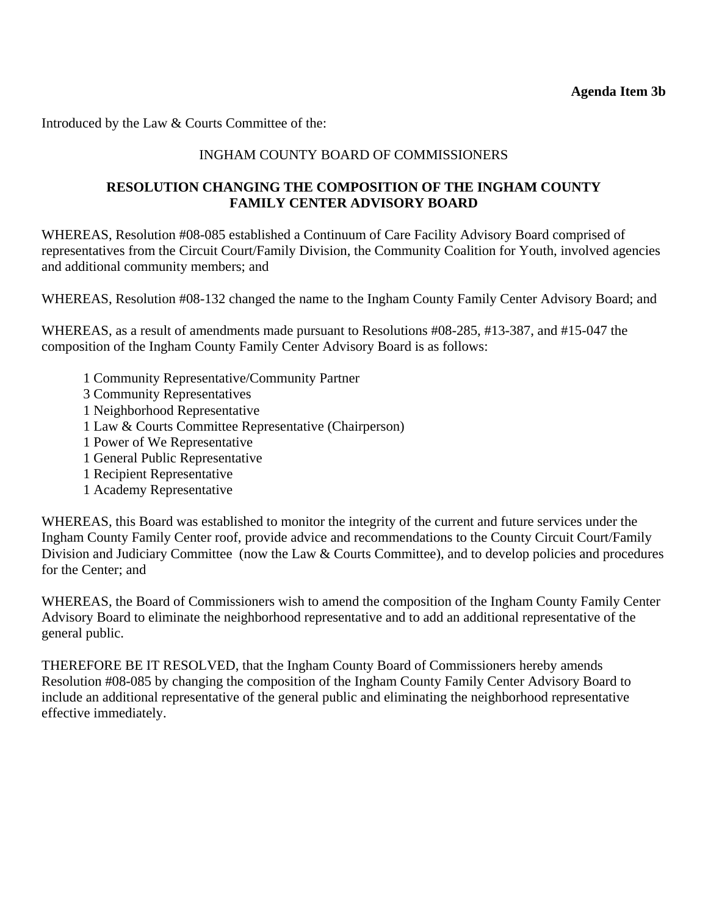<span id="page-18-0"></span>Introduced by the Law & Courts Committee of the:

# INGHAM COUNTY BOARD OF COMMISSIONERS

# **RESOLUTION CHANGING THE COMPOSITION OF THE INGHAM COUNTY FAMILY CENTER ADVISORY BOARD**

WHEREAS, Resolution #08-085 established a Continuum of Care Facility Advisory Board comprised of representatives from the Circuit Court/Family Division, the Community Coalition for Youth, involved agencies and additional community members; and

WHEREAS, Resolution #08-132 changed the name to the Ingham County Family Center Advisory Board; and

WHEREAS, as a result of amendments made pursuant to Resolutions #08-285, #13-387, and #15-047 the composition of the Ingham County Family Center Advisory Board is as follows:

- 1 Community Representative/Community Partner
- 3 Community Representatives
- 1 Neighborhood Representative
- 1 Law & Courts Committee Representative (Chairperson)
- 1 Power of We Representative
- 1 General Public Representative
- 1 Recipient Representative
- 1 Academy Representative

WHEREAS, this Board was established to monitor the integrity of the current and future services under the Ingham County Family Center roof, provide advice and recommendations to the County Circuit Court/Family Division and Judiciary Committee (now the Law & Courts Committee), and to develop policies and procedures for the Center; and

WHEREAS, the Board of Commissioners wish to amend the composition of the Ingham County Family Center Advisory Board to eliminate the neighborhood representative and to add an additional representative of the general public.

THEREFORE BE IT RESOLVED, that the Ingham County Board of Commissioners hereby amends Resolution #08-085 by changing the composition of the Ingham County Family Center Advisory Board to include an additional representative of the general public and eliminating the neighborhood representative effective immediately.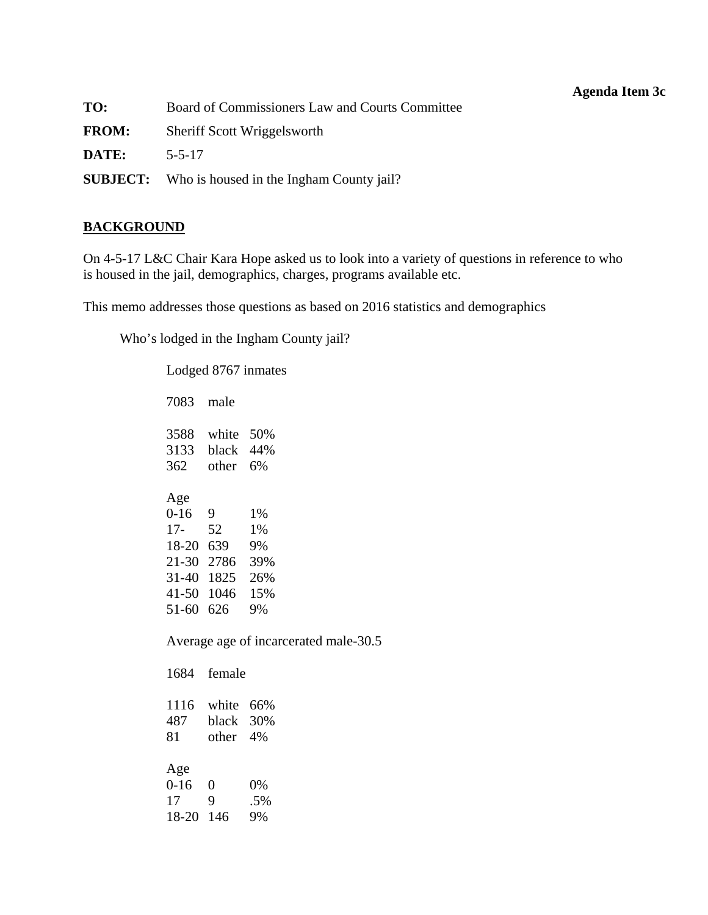#### **Agenda Item 3c**

<span id="page-19-0"></span>

| TO:          | Board of Commissioners Law and Courts Committee          |
|--------------|----------------------------------------------------------|
| <b>FROM:</b> | Sheriff Scott Wriggelsworth                              |
| DATE:        | 5-5-17                                                   |
|              | <b>SUBJECT:</b> Who is housed in the Ingham County jail? |

#### **BACKGROUND**

On 4-5-17 L&C Chair Kara Hope asked us to look into a variety of questions in reference to who is housed in the jail, demographics, charges, programs available etc.

This memo addresses those questions as based on 2016 statistics and demographics

Who's lodged in the Ingham County jail?

 Lodged 8767 inmates 7083 male 3588 white 50% 3133 black 44% 362 other 6% Age 0-16 9 1% 17- 52 1% 18-20 639 9% 21-30 2786 39% 31-40 1825 26% 41-50 1046 15% 51-60 626 9% Average age of incarcerated male-30.5 1684 female 1116 white 66% 487 black 30% 81 other 4% Age  $0-16$  0 0%

 17 9 .5% 18-20 146 9%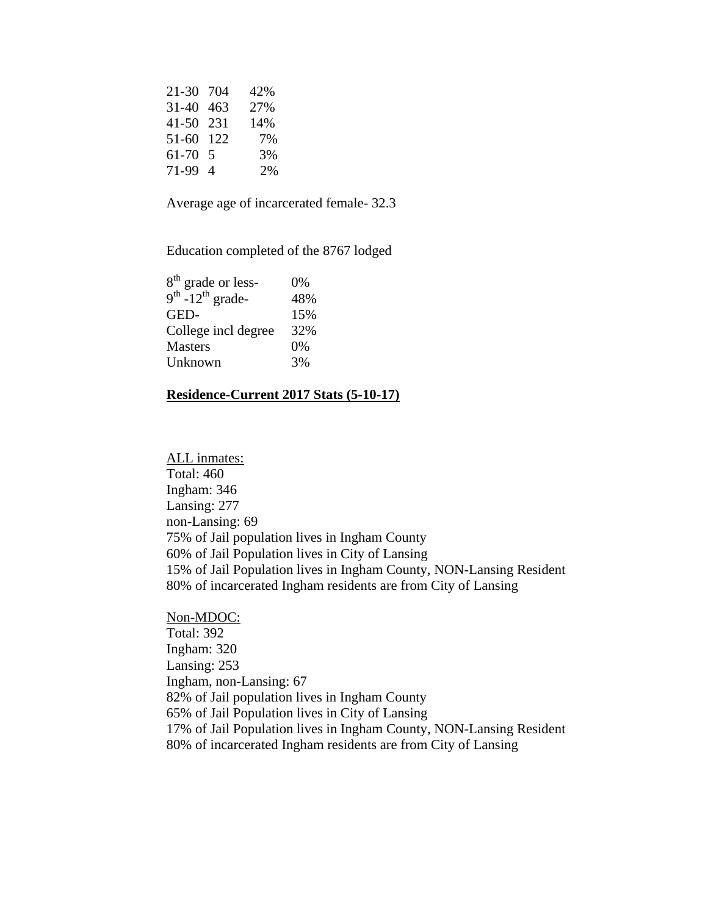| 21-30 704 | 42% |
|-----------|-----|
| 31-40 463 | 27% |
| 41-50 231 | 14% |
| 51-60 122 | 7%  |
| $61-70$ 5 | 3%  |
| 71-99 4   | 2%  |

Average age of incarcerated female- 32.3

Education completed of the 8767 lodged

| 8 <sup>th</sup> grade or less-    | $0\%$ |
|-----------------------------------|-------|
| $9^{th}$ -12 <sup>th</sup> grade- | 48%   |
| GED-                              | 15%   |
| College incl degree               | 32%   |
| <b>Masters</b>                    | 0%    |
| Unknown                           | 3%    |

#### **Residence-Current 2017 Stats (5-10-17)**

 ALL inmates: Total: 460 Ingham: 346 Lansing: 277 non-Lansing: 69 75% of Jail population lives in Ingham County 60% of Jail Population lives in City of Lansing 15% of Jail Population lives in Ingham County, NON-Lansing Resident 80% of incarcerated Ingham residents are from City of Lansing

Non-MDOC: Total: 392 Ingham: 320 Lansing: 253 Ingham, non-Lansing: 67 82% of Jail population lives in Ingham County 65% of Jail Population lives in City of Lansing 17% of Jail Population lives in Ingham County, NON-Lansing Resident 80% of incarcerated Ingham residents are from City of Lansing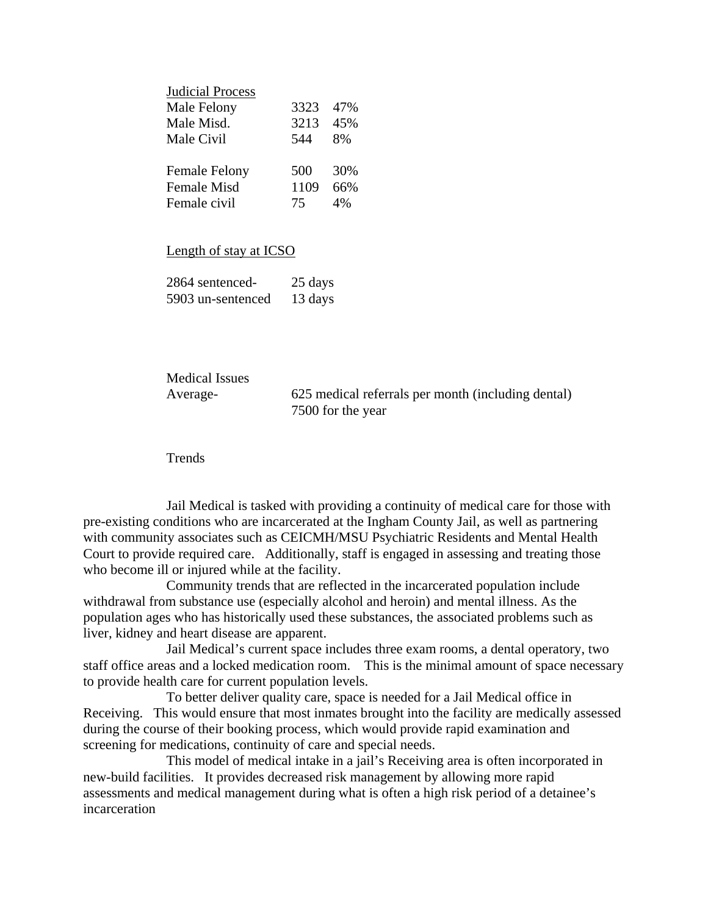| <b>Judicial Process</b> |      |     |
|-------------------------|------|-----|
| Male Felony             | 3323 | 47% |
| Male Misd.              | 3213 | 45% |
| Male Civil              | 544  | 8%  |
|                         |      |     |
| <b>Female Felony</b>    | 500  | 30% |
| Female Misd             | 1109 | 66% |
| Female civil            | 75   | 4%  |
|                         |      |     |

Length of stay at ICSO

| 2864 sentenced-   | 25 days |
|-------------------|---------|
| 5903 un-sentenced | 13 days |

 Medical Issues Average- 625 medical referrals per month (including dental) 7500 for the year

**Trends** 

 Jail Medical is tasked with providing a continuity of medical care for those with pre-existing conditions who are incarcerated at the Ingham County Jail, as well as partnering with community associates such as CEICMH/MSU Psychiatric Residents and Mental Health Court to provide required care. Additionally, staff is engaged in assessing and treating those who become ill or injured while at the facility.

 Community trends that are reflected in the incarcerated population include withdrawal from substance use (especially alcohol and heroin) and mental illness. As the population ages who has historically used these substances, the associated problems such as liver, kidney and heart disease are apparent.

 Jail Medical's current space includes three exam rooms, a dental operatory, two staff office areas and a locked medication room. This is the minimal amount of space necessary to provide health care for current population levels.

 To better deliver quality care, space is needed for a Jail Medical office in Receiving. This would ensure that most inmates brought into the facility are medically assessed during the course of their booking process, which would provide rapid examination and screening for medications, continuity of care and special needs.

 This model of medical intake in a jail's Receiving area is often incorporated in new-build facilities. It provides decreased risk management by allowing more rapid assessments and medical management during what is often a high risk period of a detainee's incarceration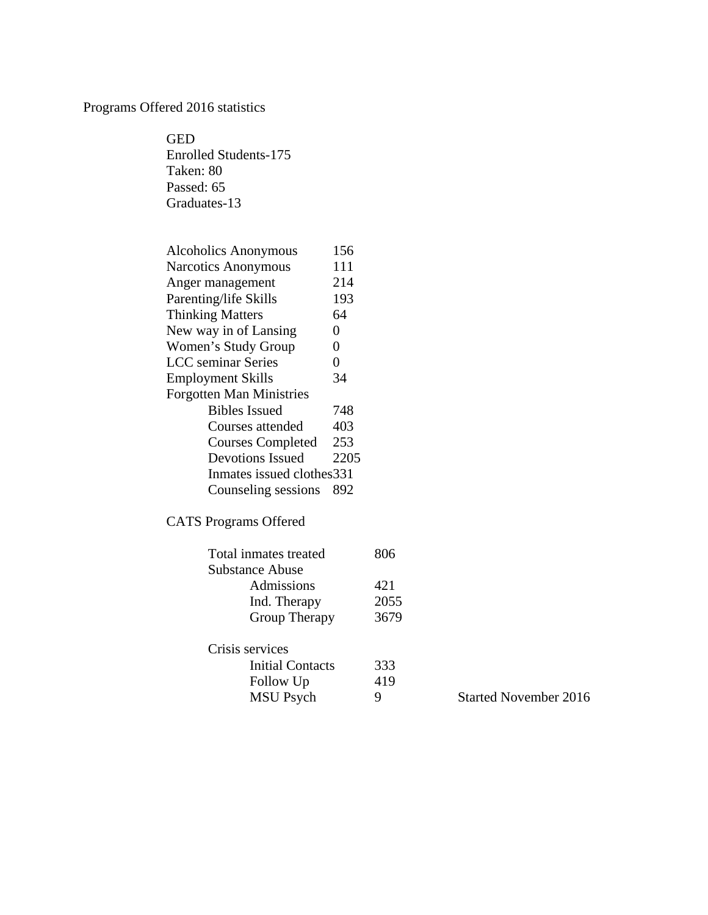# Programs Offered 2016 statistics

 GED Enrolled Students-175 Taken: 80 Passed: 65 Graduates-13

| 156                        |
|----------------------------|
| 111                        |
| 214                        |
| 193                        |
| 64                         |
| 0                          |
| 0                          |
| 0                          |
| 34                         |
|                            |
| 748                        |
| 403                        |
| 253                        |
| 2205                       |
| Inmates issued clothes 331 |
| 892                        |
|                            |

CATS Programs Offered

| Total inmates treated<br><b>Substance Abuse</b> | 806  |                              |
|-------------------------------------------------|------|------------------------------|
| Admissions                                      | 421  |                              |
| Ind. Therapy                                    | 2055 |                              |
| Group Therapy                                   | 3679 |                              |
| Crisis services                                 |      |                              |
| <b>Initial Contacts</b>                         | 333  |                              |
| Follow Up                                       | 419  |                              |
| <b>MSU Psych</b>                                | 9    | <b>Started November 2016</b> |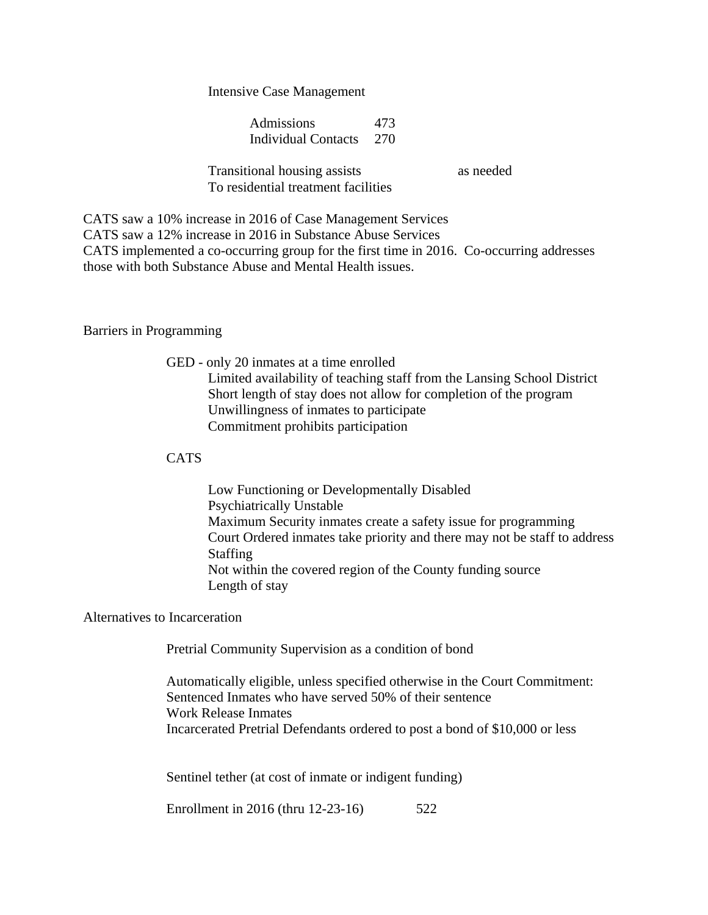Intensive Case Management

| Admissions<br>Individual Contacts 270                               | 473 |           |
|---------------------------------------------------------------------|-----|-----------|
| Transitional housing assists<br>To residential treatment facilities |     | as needed |

CATS saw a 10% increase in 2016 of Case Management Services CATS saw a 12% increase in 2016 in Substance Abuse Services CATS implemented a co-occurring group for the first time in 2016. Co-occurring addresses those with both Substance Abuse and Mental Health issues.

#### Barriers in Programming

 GED - only 20 inmates at a time enrolled Limited availability of teaching staff from the Lansing School District Short length of stay does not allow for completion of the program Unwillingness of inmates to participate Commitment prohibits participation

#### **CATS**

 Low Functioning or Developmentally Disabled Psychiatrically Unstable Maximum Security inmates create a safety issue for programming Court Ordered inmates take priority and there may not be staff to address Staffing Not within the covered region of the County funding source Length of stay

#### Alternatives to Incarceration

Pretrial Community Supervision as a condition of bond

Automatically eligible, unless specified otherwise in the Court Commitment: Sentenced Inmates who have served 50% of their sentence Work Release Inmates Incarcerated Pretrial Defendants ordered to post a bond of \$10,000 or less

Sentinel tether (at cost of inmate or indigent funding)

Enrollment in 2016 (thru 12-23-16) 522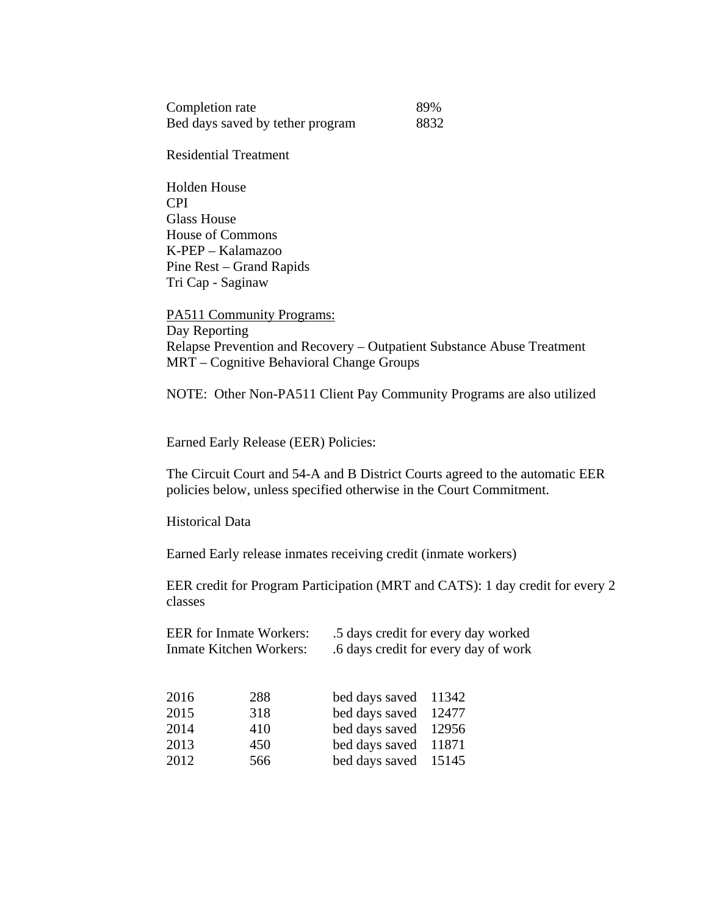Completion rate 89% Bed days saved by tether program 8832

Residential Treatment

 Holden House CPI Glass House House of Commons K-PEP – Kalamazoo Pine Rest – Grand Rapids Tri Cap - Saginaw

 PA511 Community Programs: Day Reporting Relapse Prevention and Recovery – Outpatient Substance Abuse Treatment MRT – Cognitive Behavioral Change Groups

NOTE: Other Non-PA511 Client Pay Community Programs are also utilized

Earned Early Release (EER) Policies:

The Circuit Court and 54-A and B District Courts agreed to the automatic EER policies below, unless specified otherwise in the Court Commitment.

Historical Data

Earned Early release inmates receiving credit (inmate workers)

EER credit for Program Participation (MRT and CATS): 1 day credit for every 2 classes

| <b>EER</b> for Inmate Workers:<br><b>Inmate Kitchen Workers:</b> |     | .5 days credit for every day worked<br>.6 days credit for every day of work |  |
|------------------------------------------------------------------|-----|-----------------------------------------------------------------------------|--|
| 2016                                                             | 288 | bed days saved 11342                                                        |  |
| 2015                                                             | 318 | bed days saved 12477                                                        |  |
| 2014                                                             | 410 | bed days saved 12956                                                        |  |
| 2013                                                             | 450 | bed days saved 11871                                                        |  |
| 2012                                                             | 566 | bed days saved 15145                                                        |  |